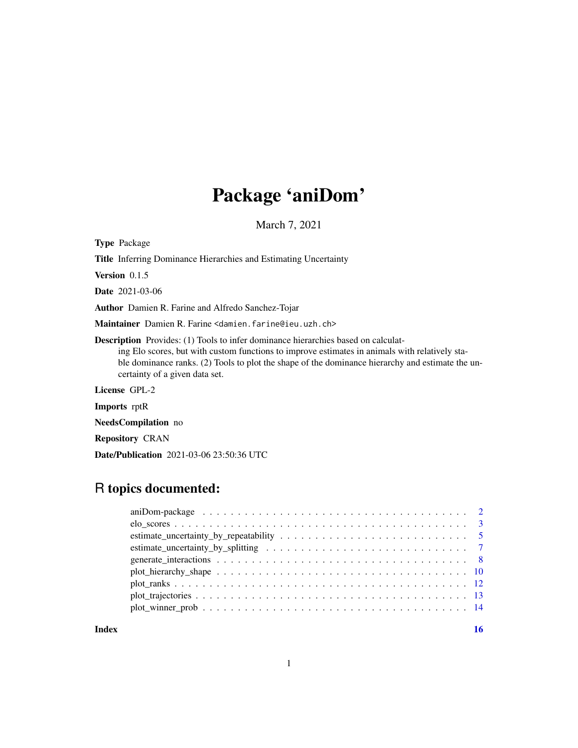## Package 'aniDom'

March 7, 2021

Type Package

Title Inferring Dominance Hierarchies and Estimating Uncertainty

Version 0.1.5

Date 2021-03-06

Author Damien R. Farine and Alfredo Sanchez-Tojar

Maintainer Damien R. Farine <damien.farine@ieu.uzh.ch>

Description Provides: (1) Tools to infer dominance hierarchies based on calculating Elo scores, but with custom functions to improve estimates in animals with relatively stable dominance ranks. (2) Tools to plot the shape of the dominance hierarchy and estimate the uncertainty of a given data set.

License GPL-2

Imports rptR

NeedsCompilation no

Repository CRAN

Date/Publication 2021-03-06 23:50:36 UTC

## R topics documented:

| $plot_{\text{}} + 100$ |  |
|------------------------|--|
|                        |  |
|                        |  |
|                        |  |
|                        |  |

**Index** and the contract of the contract of the contract of the contract of the contract of the contract of the contract of the contract of the contract of the contract of the contract of the contract of the contract of th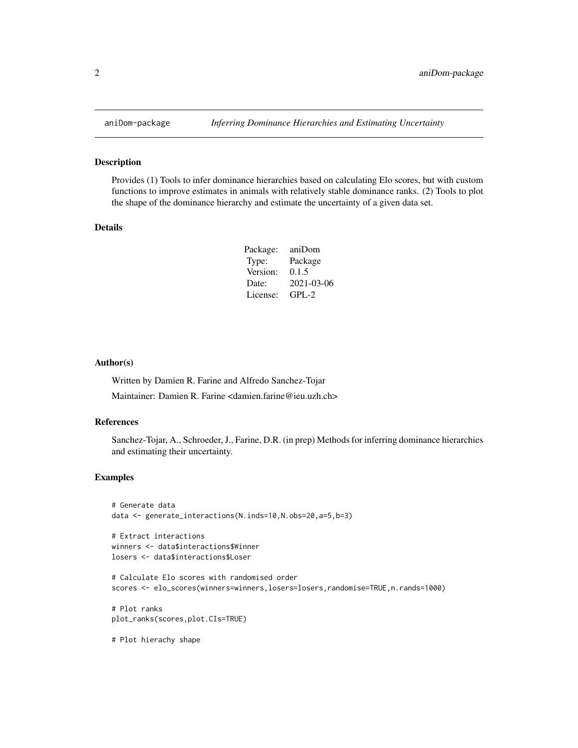#### Description

Provides (1) Tools to infer dominance hierarchies based on calculating Elo scores, but with custom functions to improve estimates in animals with relatively stable dominance ranks. (2) Tools to plot the shape of the dominance hierarchy and estimate the uncertainty of a given data set.

## Details

| Package: | aniDom     |
|----------|------------|
| Type:    | Package    |
| Version: | 0.1.5      |
| Date:    | 2021-03-06 |
| License: | $GPL-2$    |
|          |            |

#### Author(s)

Written by Damien R. Farine and Alfredo Sanchez-Tojar

Maintainer: Damien R. Farine <damien.farine@ieu.uzh.ch>

## References

Sanchez-Tojar, A., Schroeder, J., Farine, D.R. (in prep) Methods for inferring dominance hierarchies and estimating their uncertainty.

## Examples

```
# Generate data
data <- generate_interactions(N.inds=10,N.obs=20,a=5,b=3)
```
# Extract interactions winners <- data\$interactions\$Winner losers <- data\$interactions\$Loser

```
# Calculate Elo scores with randomised order
scores <- elo_scores(winners=winners,losers=losers,randomise=TRUE,n.rands=1000)
```
# Plot ranks plot\_ranks(scores,plot.CIs=TRUE)

# Plot hierachy shape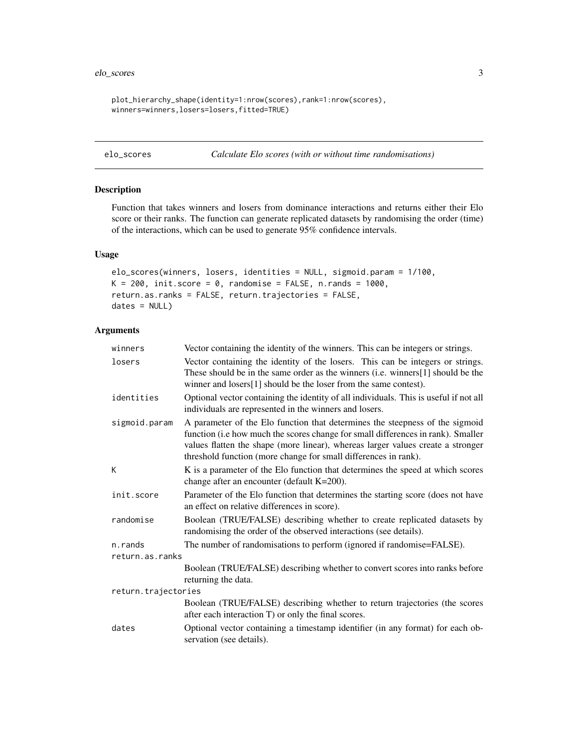```
plot_hierarchy_shape(identity=1:nrow(scores),rank=1:nrow(scores),
winners=winners,losers=losers,fitted=TRUE)
```

```
elo_scores Calculate Elo scores (with or without time randomisations)
```
## Description

Function that takes winners and losers from dominance interactions and returns either their Elo score or their ranks. The function can generate replicated datasets by randomising the order (time) of the interactions, which can be used to generate 95% confidence intervals.

## Usage

```
elo_scores(winners, losers, identities = NULL, sigmoid.param = 1/100,
K = 200, init.score = 0, randomise = FALSE, n.rands = 1000,
return.as.ranks = FALSE, return.trajectories = FALSE,
dates = NULL)
```
## Arguments

| winners             | Vector containing the identity of the winners. This can be integers or strings.                                                                                                                                                                                                                                        |  |
|---------------------|------------------------------------------------------------------------------------------------------------------------------------------------------------------------------------------------------------------------------------------------------------------------------------------------------------------------|--|
| losers              | Vector containing the identity of the losers. This can be integers or strings.<br>These should be in the same order as the winners (i.e. winners[1] should be the<br>winner and losers[1] should be the loser from the same contest).                                                                                  |  |
| identities          | Optional vector containing the identity of all individuals. This is useful if not all<br>individuals are represented in the winners and losers.                                                                                                                                                                        |  |
| sigmoid.param       | A parameter of the Elo function that determines the steepness of the sigmoid<br>function (i.e how much the scores change for small differences in rank). Smaller<br>values flatten the shape (more linear), whereas larger values create a stronger<br>threshold function (more change for small differences in rank). |  |
| К                   | K is a parameter of the Elo function that determines the speed at which scores<br>change after an encounter (default $K=200$ ).                                                                                                                                                                                        |  |
| init.score          | Parameter of the Elo function that determines the starting score (does not have<br>an effect on relative differences in score).                                                                                                                                                                                        |  |
| randomise           | Boolean (TRUE/FALSE) describing whether to create replicated datasets by<br>randomising the order of the observed interactions (see details).                                                                                                                                                                          |  |
| n.rands             | The number of randomisations to perform (ignored if randomise=FALSE).                                                                                                                                                                                                                                                  |  |
| return.as.ranks     |                                                                                                                                                                                                                                                                                                                        |  |
|                     | Boolean (TRUE/FALSE) describing whether to convert scores into ranks before<br>returning the data.                                                                                                                                                                                                                     |  |
| return.trajectories |                                                                                                                                                                                                                                                                                                                        |  |
|                     | Boolean (TRUE/FALSE) describing whether to return trajectories (the scores<br>after each interaction T) or only the final scores.                                                                                                                                                                                      |  |
| dates               | Optional vector containing a timestamp identifier (in any format) for each ob-<br>servation (see details).                                                                                                                                                                                                             |  |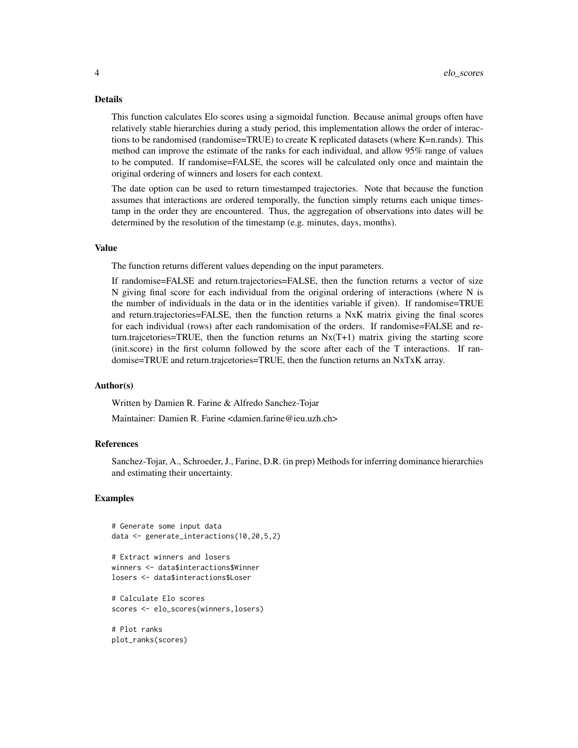#### Details

This function calculates Elo scores using a sigmoidal function. Because animal groups often have relatively stable hierarchies during a study period, this implementation allows the order of interactions to be randomised (randomise=TRUE) to create K replicated datasets (where K=n.rands). This method can improve the estimate of the ranks for each individual, and allow 95% range of values to be computed. If randomise=FALSE, the scores will be calculated only once and maintain the original ordering of winners and losers for each context.

The date option can be used to return timestamped trajectories. Note that because the function assumes that interactions are ordered temporally, the function simply returns each unique timestamp in the order they are encountered. Thus, the aggregation of observations into dates will be determined by the resolution of the timestamp (e.g. minutes, days, months).

#### Value

The function returns different values depending on the input parameters.

If randomise=FALSE and return.trajectories=FALSE, then the function returns a vector of size N giving final score for each individual from the original ordering of interactions (where N is the number of individuals in the data or in the identities variable if given). If randomise=TRUE and return.trajectories=FALSE, then the function returns a NxK matrix giving the final scores for each individual (rows) after each randomisation of the orders. If randomise=FALSE and return.trajcetories=TRUE, then the function returns an  $Nx(T+1)$  matrix giving the starting score (init.score) in the first column followed by the score after each of the T interactions. If randomise=TRUE and return.trajcetories=TRUE, then the function returns an NxTxK array.

#### Author(s)

Written by Damien R. Farine & Alfredo Sanchez-Tojar

Maintainer: Damien R. Farine <damien.farine@ieu.uzh.ch>

#### References

Sanchez-Tojar, A., Schroeder, J., Farine, D.R. (in prep) Methods for inferring dominance hierarchies and estimating their uncertainty.

## Examples

```
# Generate some input data
data <- generate_interactions(10,20,5,2)
```

```
# Extract winners and losers
winners <- data$interactions$Winner
losers <- data$interactions$Loser
```

```
# Calculate Elo scores
scores <- elo_scores(winners,losers)
```
# Plot ranks plot\_ranks(scores)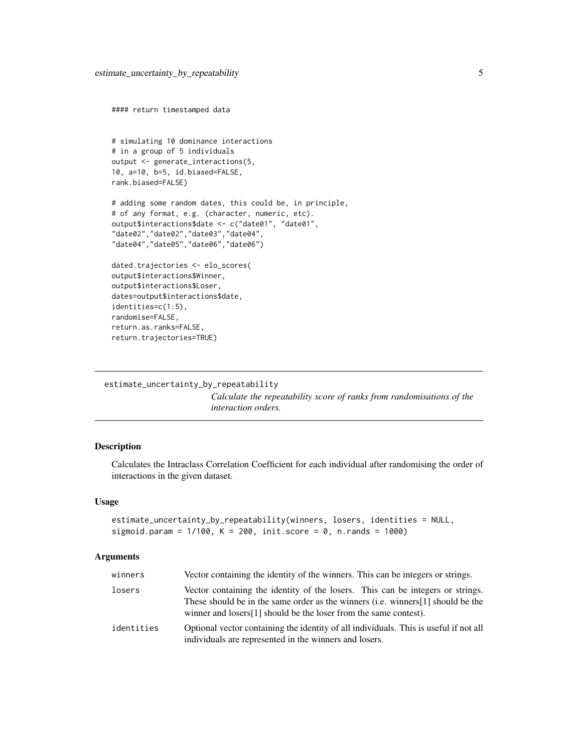```
#### return timestamped data
# simulating 10 dominance interactions
# in a group of 5 individuals
output <- generate_interactions(5,
10, a=10, b=5, id.biased=FALSE,
rank.biased=FALSE)
# adding some random dates, this could be, in principle,
# of any format, e.g. (character, numeric, etc).
output$interactions$date <- c("date01", "date01",
"date02","date02","date03","date04",
"date04","date05","date06","date06")
dated.trajectories <- elo_scores(
output$interactions$Winner,
```
output\$interactions\$Loser, dates=output\$interactions\$date, identities=c(1:5), randomise=FALSE, return.as.ranks=FALSE, return.trajectories=TRUE)

```
estimate_uncertainty_by_repeatability
```
*Calculate the repeatability score of ranks from randomisations of the interaction orders.*

## Description

Calculates the Intraclass Correlation Coefficient for each individual after randomising the order of interactions in the given dataset.

#### Usage

```
estimate_uncertainty_by_repeatability(winners, losers, identities = NULL,
sigmoid.param = 1/100, K = 200, init.score = 0, n.rands = 1000)
```
#### Arguments

| winners    | Vector containing the identity of the winners. This can be integers or strings.                                                                                                                                                        |
|------------|----------------------------------------------------------------------------------------------------------------------------------------------------------------------------------------------------------------------------------------|
| losers     | Vector containing the identity of the losers. This can be integers or strings.<br>These should be in the same order as the winners (i.e. winners [1] should be the<br>winner and losers[1] should be the loser from the same contest). |
| identities | Optional vector containing the identity of all individuals. This is useful if not all<br>individuals are represented in the winners and losers.                                                                                        |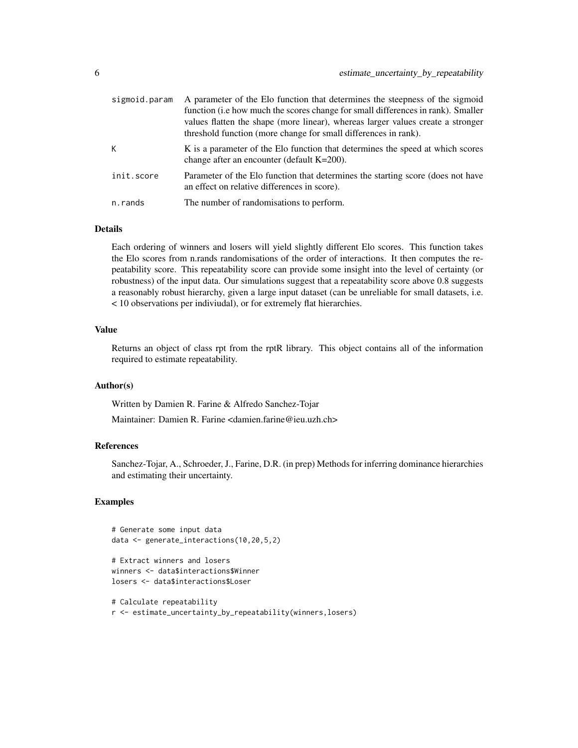| sigmoid.param | A parameter of the Elo function that determines the steepness of the sigmoid<br>function (i.e how much the scores change for small differences in rank). Smaller<br>values flatten the shape (more linear), whereas larger values create a stronger<br>threshold function (more change for small differences in rank). |
|---------------|------------------------------------------------------------------------------------------------------------------------------------------------------------------------------------------------------------------------------------------------------------------------------------------------------------------------|
| K             | K is a parameter of the Elo function that determines the speed at which scores<br>change after an encounter (default $K=200$ ).                                                                                                                                                                                        |
| init.score    | Parameter of the Elo function that determines the starting score (does not have<br>an effect on relative differences in score).                                                                                                                                                                                        |
| n.rands       | The number of randomisations to perform.                                                                                                                                                                                                                                                                               |

## Details

Each ordering of winners and losers will yield slightly different Elo scores. This function takes the Elo scores from n.rands randomisations of the order of interactions. It then computes the repeatability score. This repeatability score can provide some insight into the level of certainty (or robustness) of the input data. Our simulations suggest that a repeatability score above 0.8 suggests a reasonably robust hierarchy, given a large input dataset (can be unreliable for small datasets, i.e. < 10 observations per indiviudal), or for extremely flat hierarchies.

## Value

Returns an object of class rpt from the rptR library. This object contains all of the information required to estimate repeatability.

#### Author(s)

Written by Damien R. Farine & Alfredo Sanchez-Tojar

Maintainer: Damien R. Farine <damien.farine@ieu.uzh.ch>

### References

Sanchez-Tojar, A., Schroeder, J., Farine, D.R. (in prep) Methods for inferring dominance hierarchies and estimating their uncertainty.

```
# Generate some input data
data <- generate_interactions(10,20,5,2)
```

```
# Extract winners and losers
winners <- data$interactions$Winner
losers <- data$interactions$Loser
```

```
# Calculate repeatability
r <- estimate_uncertainty_by_repeatability(winners,losers)
```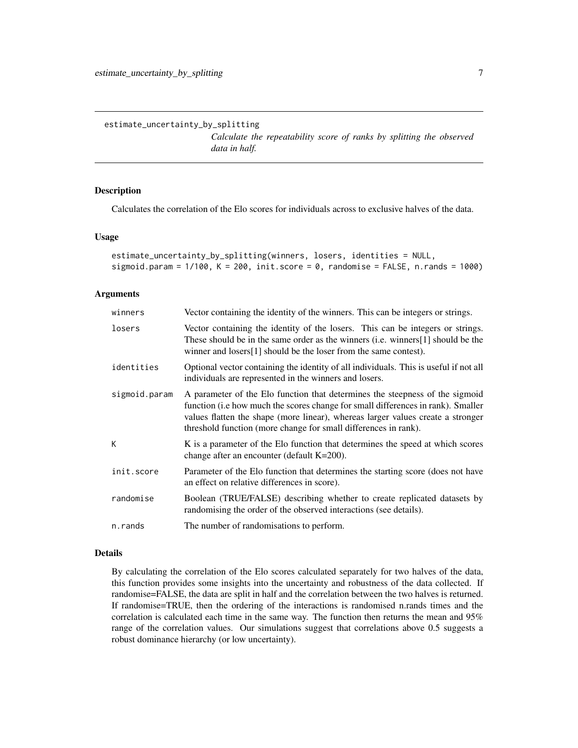<span id="page-6-0"></span>estimate\_uncertainty\_by\_splitting

*Calculate the repeatability score of ranks by splitting the observed data in half.*

## Description

Calculates the correlation of the Elo scores for individuals across to exclusive halves of the data.

#### Usage

```
estimate_uncertainty_by_splitting(winners, losers, identities = NULL,
sigmoid.param = 1/100, K = 200, init.score = 0, randomise = FALSE, n.rands = 1000)
```
#### Arguments

| winners       | Vector containing the identity of the winners. This can be integers or strings.                                                                                                                                                                                                                                        |
|---------------|------------------------------------------------------------------------------------------------------------------------------------------------------------------------------------------------------------------------------------------------------------------------------------------------------------------------|
| losers        | Vector containing the identity of the losers. This can be integers or strings.<br>These should be in the same order as the winners (i.e. winners [1] should be the<br>winner and losers[1] should be the loser from the same contest).                                                                                 |
| identities    | Optional vector containing the identity of all individuals. This is useful if not all<br>individuals are represented in the winners and losers.                                                                                                                                                                        |
| sigmoid.param | A parameter of the Elo function that determines the steepness of the sigmoid<br>function (i.e how much the scores change for small differences in rank). Smaller<br>values flatten the shape (more linear), whereas larger values create a stronger<br>threshold function (more change for small differences in rank). |
| K             | K is a parameter of the Elo function that determines the speed at which scores<br>change after an encounter (default $K=200$ ).                                                                                                                                                                                        |
| init.score    | Parameter of the Elo function that determines the starting score (does not have<br>an effect on relative differences in score).                                                                                                                                                                                        |
| randomise     | Boolean (TRUE/FALSE) describing whether to create replicated datasets by<br>randomising the order of the observed interactions (see details).                                                                                                                                                                          |
| n.rands       | The number of randomisations to perform.                                                                                                                                                                                                                                                                               |

#### Details

By calculating the correlation of the Elo scores calculated separately for two halves of the data, this function provides some insights into the uncertainty and robustness of the data collected. If randomise=FALSE, the data are split in half and the correlation between the two halves is returned. If randomise=TRUE, then the ordering of the interactions is randomised n.rands times and the correlation is calculated each time in the same way. The function then returns the mean and 95% range of the correlation values. Our simulations suggest that correlations above 0.5 suggests a robust dominance hierarchy (or low uncertainty).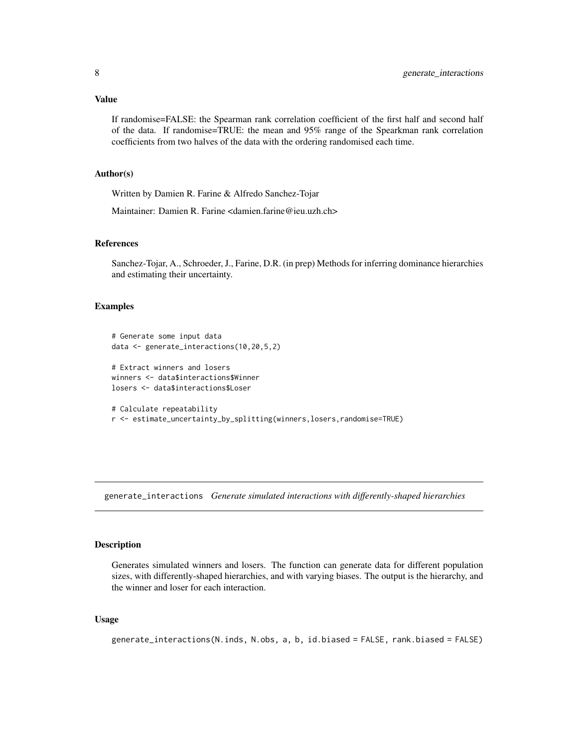## <span id="page-7-0"></span>Value

If randomise=FALSE: the Spearman rank correlation coefficient of the first half and second half of the data. If randomise=TRUE: the mean and 95% range of the Spearkman rank correlation coefficients from two halves of the data with the ordering randomised each time.

#### Author(s)

Written by Damien R. Farine & Alfredo Sanchez-Tojar

Maintainer: Damien R. Farine <damien.farine@ieu.uzh.ch>

## References

Sanchez-Tojar, A., Schroeder, J., Farine, D.R. (in prep) Methods for inferring dominance hierarchies and estimating their uncertainty.

## Examples

```
# Generate some input data
data <- generate_interactions(10,20,5,2)
# Extract winners and losers
winners <- data$interactions$Winner
losers <- data$interactions$Loser
```

```
# Calculate repeatability
r <- estimate_uncertainty_by_splitting(winners,losers,randomise=TRUE)
```
<span id="page-7-1"></span>generate\_interactions *Generate simulated interactions with differently-shaped hierarchies*

## Description

Generates simulated winners and losers. The function can generate data for different population sizes, with differently-shaped hierarchies, and with varying biases. The output is the hierarchy, and the winner and loser for each interaction.

#### Usage

```
generate_interactions(N.inds, N.obs, a, b, id.biased = FALSE, rank.biased = FALSE)
```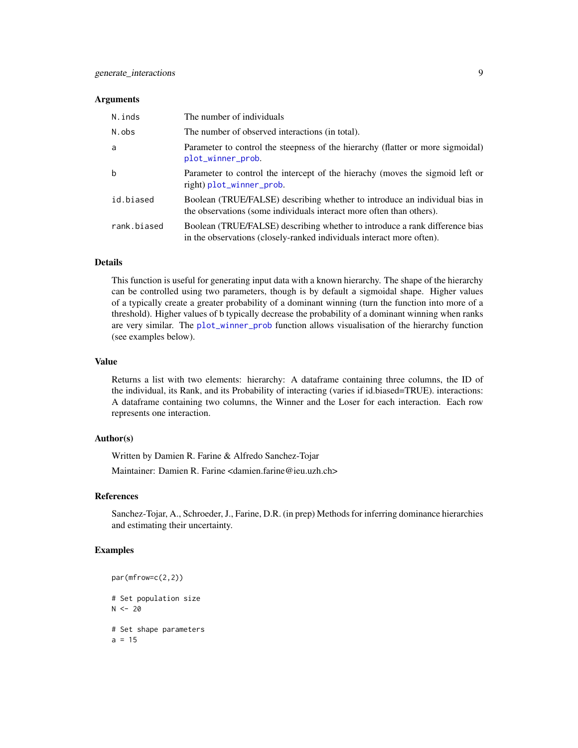#### <span id="page-8-0"></span>Arguments

| N.inds      | The number of individuals                                                                                                                            |
|-------------|------------------------------------------------------------------------------------------------------------------------------------------------------|
| N.obs       | The number of observed interactions (in total).                                                                                                      |
| a           | Parameter to control the steepness of the hierarchy (flatter or more sigmoidal)<br>plot_winner_prob.                                                 |
| b           | Parameter to control the intercept of the hierachy (moves the sigmoid left or<br>right) plot_winner_prob.                                            |
| id.biased   | Boolean (TRUE/FALSE) describing whether to introduce an individual bias in<br>the observations (some individuals interact more often than others).   |
| rank.biased | Boolean (TRUE/FALSE) describing whether to introduce a rank difference bias<br>in the observations (closely-ranked individuals interact more often). |

## Details

This function is useful for generating input data with a known hierarchy. The shape of the hierarchy can be controlled using two parameters, though is by default a sigmoidal shape. Higher values of a typically create a greater probability of a dominant winning (turn the function into more of a threshold). Higher values of b typically decrease the probability of a dominant winning when ranks are very similar. The [plot\\_winner\\_prob](#page-13-1) function allows visualisation of the hierarchy function (see examples below).

#### Value

Returns a list with two elements: hierarchy: A dataframe containing three columns, the ID of the individual, its Rank, and its Probability of interacting (varies if id.biased=TRUE). interactions: A dataframe containing two columns, the Winner and the Loser for each interaction. Each row represents one interaction.

## Author(s)

Written by Damien R. Farine & Alfredo Sanchez-Tojar

Maintainer: Damien R. Farine <damien.farine@ieu.uzh.ch>

## References

Sanchez-Tojar, A., Schroeder, J., Farine, D.R. (in prep) Methods for inferring dominance hierarchies and estimating their uncertainty.

```
par(mfrow=c(2,2))
# Set population size
N < - 20# Set shape parameters
a = 15
```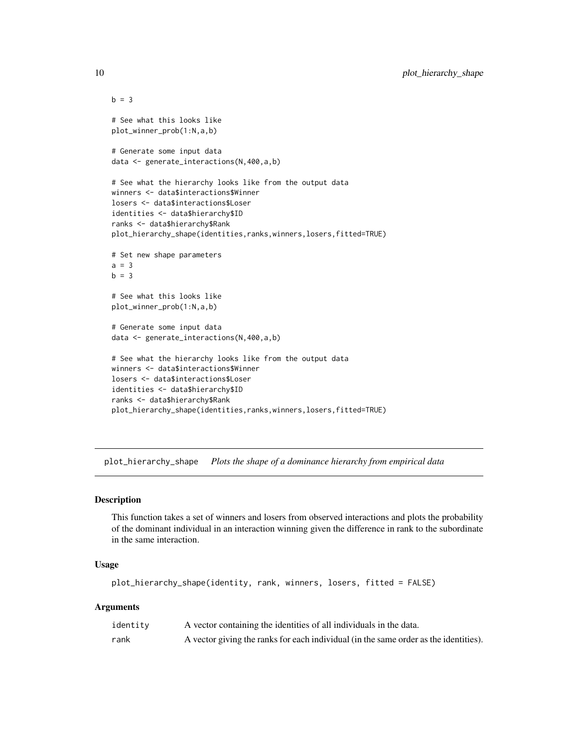```
b = 3# See what this looks like
plot_winner_prob(1:N,a,b)
# Generate some input data
data <- generate_interactions(N,400,a,b)
# See what the hierarchy looks like from the output data
winners <- data$interactions$Winner
losers <- data$interactions$Loser
identities <- data$hierarchy$ID
ranks <- data$hierarchy$Rank
plot_hierarchy_shape(identities,ranks,winners,losers,fitted=TRUE)
# Set new shape parameters
a = 3b = 3# See what this looks like
plot_winner_prob(1:N,a,b)
# Generate some input data
data <- generate_interactions(N,400,a,b)
# See what the hierarchy looks like from the output data
winners <- data$interactions$Winner
losers <- data$interactions$Loser
identities <- data$hierarchy$ID
ranks <- data$hierarchy$Rank
plot_hierarchy_shape(identities,ranks,winners,losers,fitted=TRUE)
```
plot\_hierarchy\_shape *Plots the shape of a dominance hierarchy from empirical data*

#### Description

This function takes a set of winners and losers from observed interactions and plots the probability of the dominant individual in an interaction winning given the difference in rank to the subordinate in the same interaction.

## Usage

```
plot_hierarchy_shape(identity, rank, winners, losers, fitted = FALSE)
```
## Arguments

| identity | A vector containing the identities of all individuals in the data.                   |
|----------|--------------------------------------------------------------------------------------|
| rank     | A vector giving the ranks for each individual (in the same order as the identities). |

<span id="page-9-0"></span>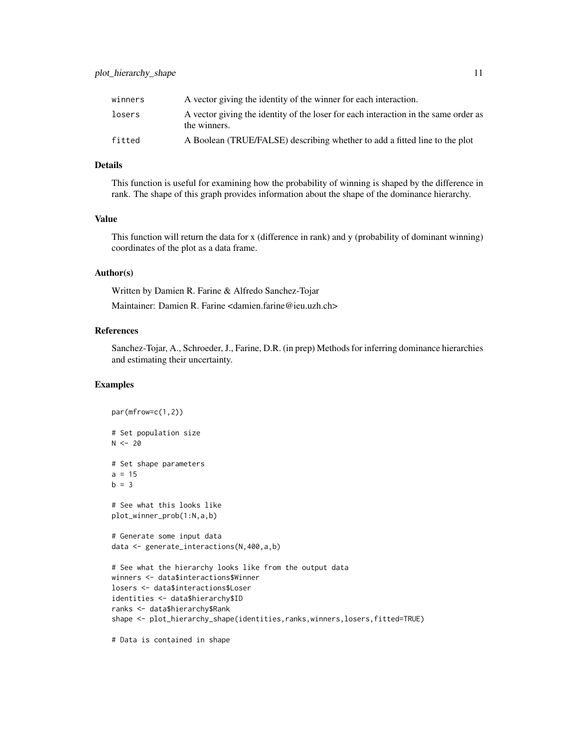| winners | A vector giving the identity of the winner for each interaction. |  |
|---------|------------------------------------------------------------------|--|

| wiiiki J | TV VOCUS ETVING the Rechtler of the Willifer for each interaction.                                  |
|----------|-----------------------------------------------------------------------------------------------------|
| losers   | A vector giving the identity of the loser for each interaction in the same order as<br>the winners. |
| fitted   | A Boolean (TRUE/FALSE) describing whether to add a fitted line to the plot                          |

## Details

This function is useful for examining how the probability of winning is shaped by the difference in rank. The shape of this graph provides information about the shape of the dominance hierarchy.

## Value

This function will return the data for x (difference in rank) and y (probability of dominant winning) coordinates of the plot as a data frame.

## Author(s)

Written by Damien R. Farine & Alfredo Sanchez-Tojar Maintainer: Damien R. Farine <damien.farine@ieu.uzh.ch>

## References

Sanchez-Tojar, A., Schroeder, J., Farine, D.R. (in prep) Methods for inferring dominance hierarchies and estimating their uncertainty.

```
par(mfrow=c(1,2))
# Set population size
N < - 20# Set shape parameters
a = 15b = 3# See what this looks like
plot_winner_prob(1:N,a,b)
# Generate some input data
data <- generate_interactions(N,400,a,b)
# See what the hierarchy looks like from the output data
winners <- data$interactions$Winner
losers <- data$interactions$Loser
identities <- data$hierarchy$ID
ranks <- data$hierarchy$Rank
shape <- plot_hierarchy_shape(identities,ranks,winners,losers,fitted=TRUE)
# Data is contained in shape
```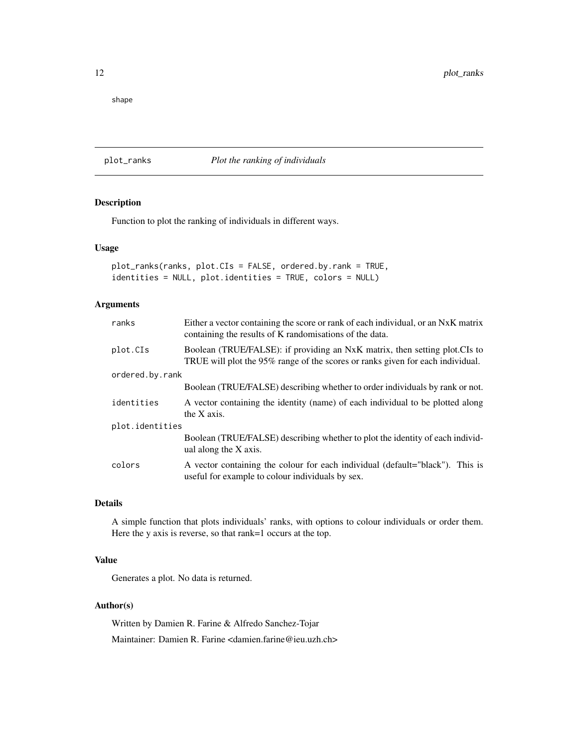<span id="page-11-0"></span>shape

## plot\_ranks *Plot the ranking of individuals*

## Description

Function to plot the ranking of individuals in different ways.

## Usage

```
plot_ranks(ranks, plot.CIs = FALSE, ordered.by.rank = TRUE,
identities = NULL, plot.identities = TRUE, colors = NULL)
```
## Arguments

| Either a vector containing the score or rank of each individual, or an NxK matrix<br>containing the results of K randomisations of the data.                  |
|---------------------------------------------------------------------------------------------------------------------------------------------------------------|
| Boolean (TRUE/FALSE): if providing an NxK matrix, then setting plot. CIs to<br>TRUE will plot the 95% range of the scores or ranks given for each individual. |
| ordered.by.rank                                                                                                                                               |
| Boolean (TRUE/FALSE) describing whether to order individuals by rank or not.                                                                                  |
| A vector containing the identity (name) of each individual to be plotted along<br>the X axis.                                                                 |
| plot.identities                                                                                                                                               |
| Boolean (TRUE/FALSE) describing whether to plot the identity of each individ-<br>ual along the X axis.                                                        |
| A vector containing the colour for each individual (default="black"). This is<br>useful for example to colour individuals by sex.                             |
|                                                                                                                                                               |

## Details

A simple function that plots individuals' ranks, with options to colour individuals or order them. Here the y axis is reverse, so that rank=1 occurs at the top.

## Value

Generates a plot. No data is returned.

## Author(s)

Written by Damien R. Farine & Alfredo Sanchez-Tojar Maintainer: Damien R. Farine <damien.farine@ieu.uzh.ch>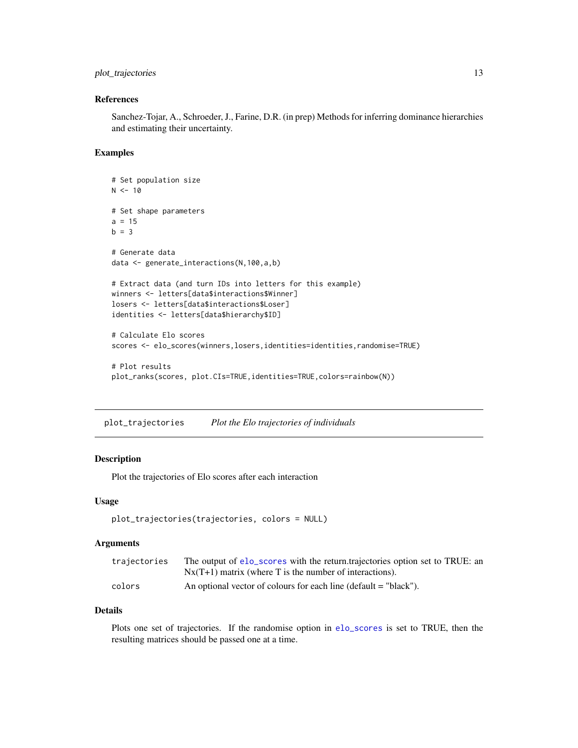## <span id="page-12-0"></span>plot\_trajectories 13

## References

Sanchez-Tojar, A., Schroeder, J., Farine, D.R. (in prep) Methods for inferring dominance hierarchies and estimating their uncertainty.

#### Examples

```
# Set population size
N < -10# Set shape parameters
a = 15b = 3# Generate data
data <- generate_interactions(N,100,a,b)
# Extract data (and turn IDs into letters for this example)
winners <- letters[data$interactions$Winner]
losers <- letters[data$interactions$Loser]
identities <- letters[data$hierarchy$ID]
# Calculate Elo scores
scores <- elo_scores(winners,losers,identities=identities,randomise=TRUE)
# Plot results
plot_ranks(scores, plot.CIs=TRUE,identities=TRUE,colors=rainbow(N))
```
plot\_trajectories *Plot the Elo trajectories of individuals*

## Description

Plot the trajectories of Elo scores after each interaction

#### Usage

```
plot_trajectories(trajectories, colors = NULL)
```
## Arguments

| trajectories | The output of elo_scores with the return.trajectories option set to TRUE: an<br>$Nx(T+1)$ matrix (where T is the number of interactions). |
|--------------|-------------------------------------------------------------------------------------------------------------------------------------------|
| colors       | An optional vector of colours for each line (default $=$ "black").                                                                        |

## Details

Plots one set of trajectories. If the randomise option in [elo\\_scores](#page-2-1) is set to TRUE, then the resulting matrices should be passed one at a time.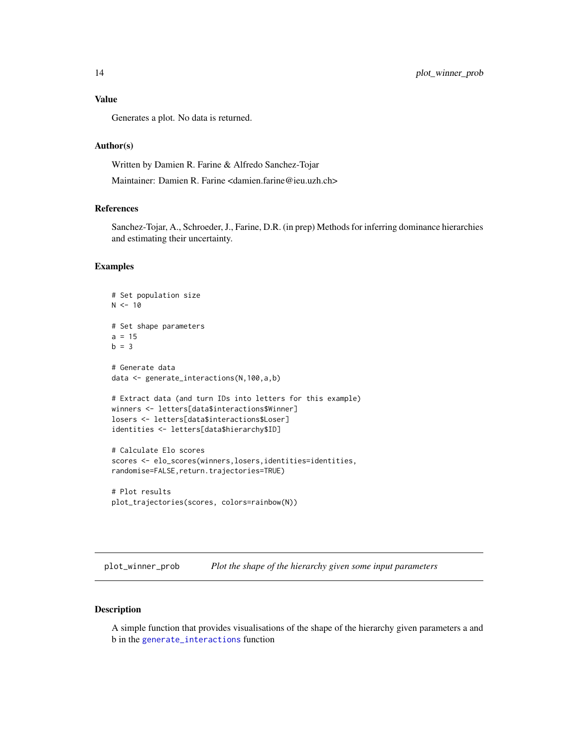## <span id="page-13-0"></span>Value

Generates a plot. No data is returned.

## Author(s)

Written by Damien R. Farine & Alfredo Sanchez-Tojar

Maintainer: Damien R. Farine <damien.farine@ieu.uzh.ch>

## References

Sanchez-Tojar, A., Schroeder, J., Farine, D.R. (in prep) Methods for inferring dominance hierarchies and estimating their uncertainty.

#### Examples

```
# Set population size
N < -10# Set shape parameters
a = 15b = 3# Generate data
data <- generate_interactions(N,100,a,b)
# Extract data (and turn IDs into letters for this example)
winners <- letters[data$interactions$Winner]
losers <- letters[data$interactions$Loser]
identities <- letters[data$hierarchy$ID]
# Calculate Elo scores
scores <- elo_scores(winners,losers,identities=identities,
randomise=FALSE,return.trajectories=TRUE)
# Plot results
```

```
plot_trajectories(scores, colors=rainbow(N))
```
<span id="page-13-1"></span>plot\_winner\_prob *Plot the shape of the hierarchy given some input parameters*

## Description

A simple function that provides visualisations of the shape of the hierarchy given parameters a and b in the [generate\\_interactions](#page-7-1) function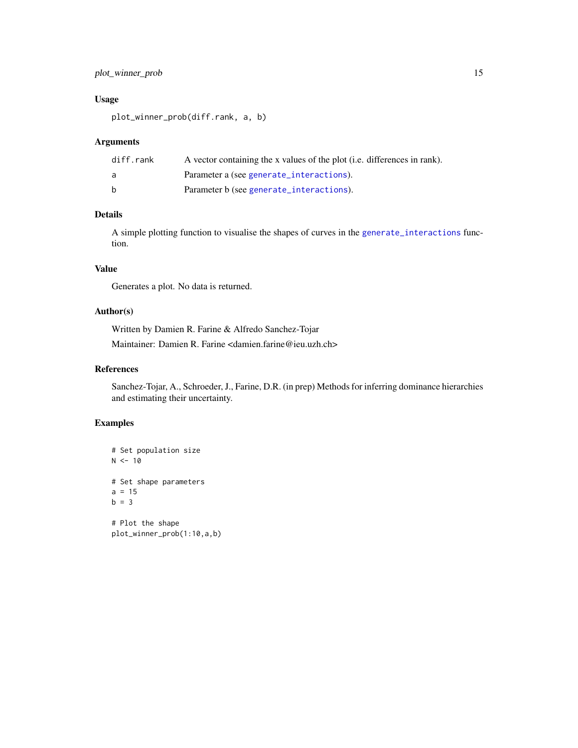## <span id="page-14-0"></span>plot\_winner\_prob 15

## Usage

plot\_winner\_prob(diff.rank, a, b)

## Arguments

| diff.rank    | A vector containing the x values of the plot (i.e. differences in rank). |
|--------------|--------------------------------------------------------------------------|
| a            | Parameter a (see generate_interactions).                                 |
| <sub>b</sub> | Parameter b (see generate_interactions).                                 |

## Details

A simple plotting function to visualise the shapes of curves in the [generate\\_interactions](#page-7-1) function.

#### Value

Generates a plot. No data is returned.

## Author(s)

Written by Damien R. Farine & Alfredo Sanchez-Tojar Maintainer: Damien R. Farine <damien.farine@ieu.uzh.ch>

## References

Sanchez-Tojar, A., Schroeder, J., Farine, D.R. (in prep) Methods for inferring dominance hierarchies and estimating their uncertainty.

```
# Set population size
N < -10# Set shape parameters
a = 15b = 3# Plot the shape
plot_winner_prob(1:10,a,b)
```